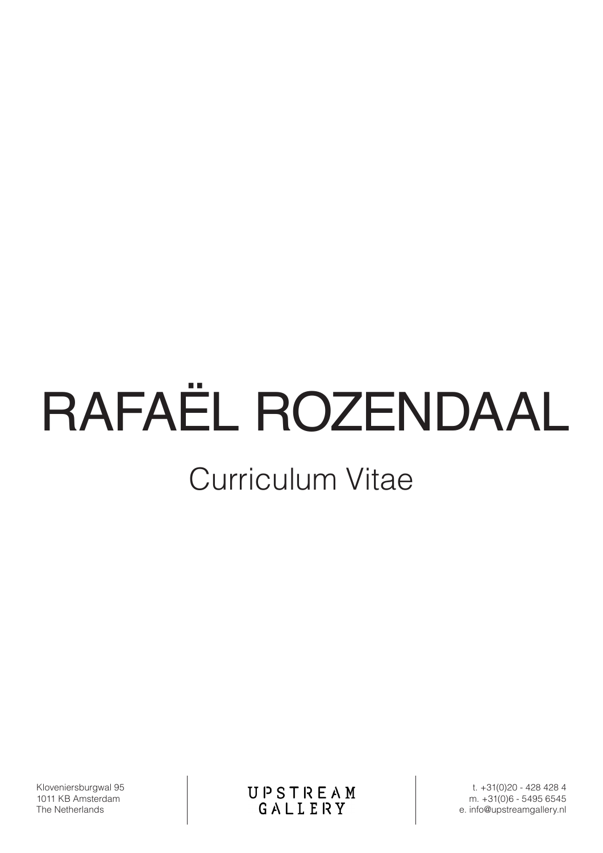# Curriculum Vitae RAFAËL ROZENDAAL

Kloveniersburgwal 95 1011 KB Amsterdam The Netherlands

UPSTREAM<br>GALLERY

t. +31(0)20 - 428 428 4 m. +31(0)6 - 5495 6545 e. info@upstreamgallery.nl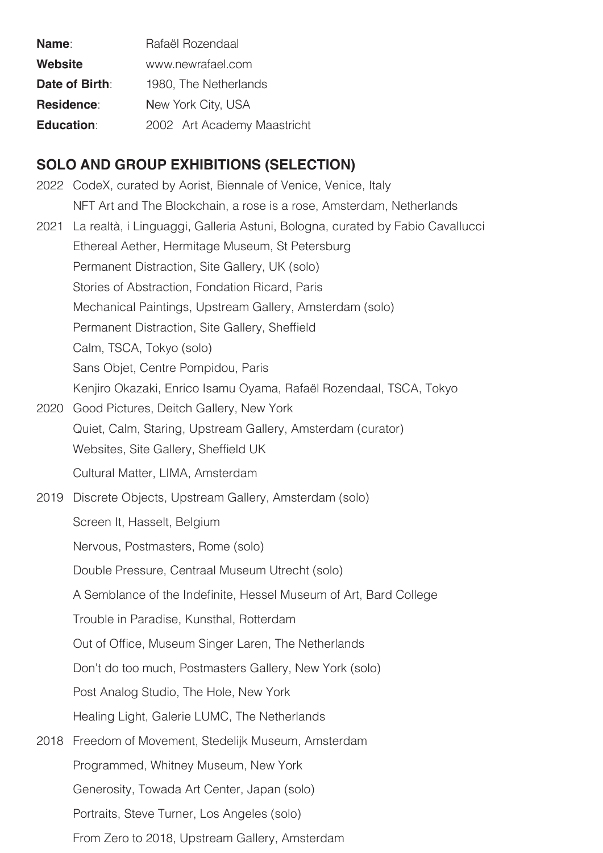| Name:             | Rafaël Rozendaal            |
|-------------------|-----------------------------|
| <b>Website</b>    | www.newrafael.com           |
| Date of Birth:    | 1980, The Netherlands       |
| <b>Residence:</b> | New York City, USA          |
| <b>Education:</b> | 2002 Art Academy Maastricht |

#### **SOLO AND GROUP EXHIBITIONS (SELECTION)**

2022 CodeX, curated by Aorist, Biennale of Venice, Venice, Italy NFT Art and The Blockchain, a rose is a rose, Amsterdam, Netherlands 2021 La realtà, i Linguaggi, Galleria Astuni, Bologna, curated by Fabio Cavallucci Ethereal Aether, Hermitage Museum, St Petersburg Permanent Distraction, Site Gallery, UK (solo) Stories of Abstraction, Fondation Ricard, Paris Mechanical Paintings, Upstream Gallery, Amsterdam (solo) Permanent Distraction, Site Gallery, Sheffield Calm, TSCA, Tokyo (solo) Sans Objet, Centre Pompidou, Paris Kenjiro Okazaki, Enrico Isamu Oyama, Rafaël Rozendaal, TSCA, Tokyo 2020 Good Pictures, Deitch Gallery, New York Quiet, Calm, Staring, Upstream Gallery, Amsterdam (curator) Websites, Site Gallery, Sheffield UK Cultural Matter, LIMA, Amsterdam 2019 Discrete Objects, Upstream Gallery, Amsterdam (solo) Screen It, Hasselt, Belgium Nervous, Postmasters, Rome (solo) Double Pressure, Centraal Museum Utrecht (solo) A Semblance of the Indefinite, Hessel Museum of Art, Bard College Trouble in Paradise, Kunsthal, Rotterdam Out of Office, Museum Singer Laren, The Netherlands Don't do too much, Postmasters Gallery, New York (solo) Post Analog Studio, The Hole, New York Healing Light, Galerie LUMC, The Netherlands 2018 Freedom of Movement, Stedelijk Museum, Amsterdam Programmed, Whitney Museum, New York Generosity, Towada Art Center, Japan (solo) Portraits, Steve Turner, Los Angeles (solo) From Zero to 2018, Upstream Gallery, Amsterdam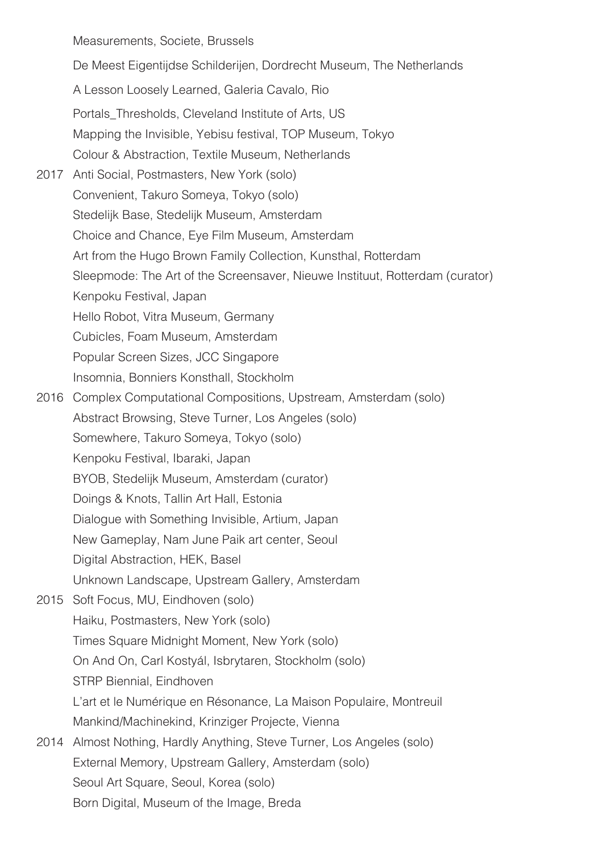Measurements, Societe, Brussels

De Meest Eigentijdse Schilderijen, Dordrecht Museum, The Netherlands

A Lesson Loosely Learned, Galeria Cavalo, Rio

Portals\_Thresholds, Cleveland Institute of Arts, US Mapping the Invisible, Yebisu festival, TOP Museum, Tokyo Colour & Abstraction, Textile Museum, Netherlands

2017 Anti Social, Postmasters, New York (solo) Convenient, Takuro Someya, Tokyo (solo) Stedelijk Base, Stedelijk Museum, Amsterdam Choice and Chance, Eye Film Museum, Amsterdam Art from the Hugo Brown Family Collection, Kunsthal, Rotterdam Sleepmode: The Art of the Screensaver, Nieuwe Instituut, Rotterdam (curator) Kenpoku Festival, Japan Hello Robot, Vitra Museum, Germany Cubicles, Foam Museum, Amsterdam Popular Screen Sizes, JCC Singapore Insomnia, Bonniers Konsthall, Stockholm 2016 Complex Computational Compositions, Upstream, Amsterdam (solo) Abstract Browsing, Steve Turner, Los Angeles (solo) Somewhere, Takuro Someya, Tokyo (solo) Kenpoku Festival, Ibaraki, Japan BYOB, Stedelijk Museum, Amsterdam (curator) Doings & Knots, Tallin Art Hall, Estonia Dialogue with Something Invisible, Artium, Japan New Gameplay, Nam June Paik art center, Seoul Digital Abstraction, HEK, Basel Unknown Landscape, Upstream Gallery, Amsterdam 2015 Soft Focus, MU, Eindhoven (solo) Haiku, Postmasters, New York (solo) Times Square Midnight Moment, New York (solo) On And On, Carl Kostyál, Isbrytaren, Stockholm (solo) STRP Biennial, Eindhoven L'art et le Numérique en Résonance, La Maison Populaire, Montreuil Mankind/Machinekind, Krinziger Projecte, Vienna 2014 Almost Nothing, Hardly Anything, Steve Turner, Los Angeles (solo) External Memory, Upstream Gallery, Amsterdam (solo) Seoul Art Square, Seoul, Korea (solo) Born Digital, Museum of the Image, Breda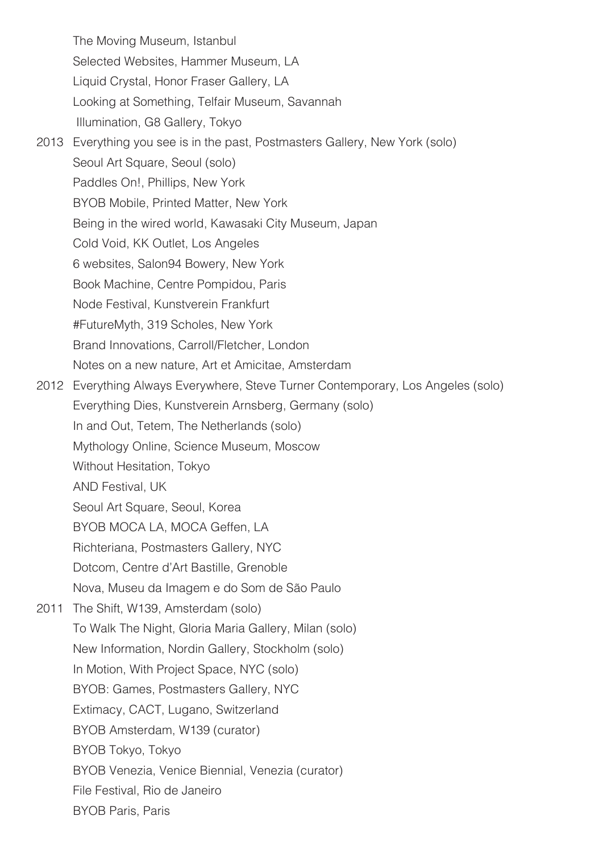The Moving Museum, Istanbul Selected Websites, Hammer Museum, LA Liquid Crystal, Honor Fraser Gallery, LA Looking at Something, Telfair Museum, Savannah Illumination, G8 Gallery, Tokyo 2013 Everything you see is in the past, Postmasters Gallery, New York (solo) Seoul Art Square, Seoul (solo) Paddles On!, Phillips, New York BYOB Mobile, Printed Matter, New York Being in the wired world, Kawasaki City Museum, Japan Cold Void, KK Outlet, Los Angeles 6 websites, Salon94 Bowery, New York Book Machine, Centre Pompidou, Paris Node Festival, Kunstverein Frankfurt #FutureMyth, 319 Scholes, New York Brand Innovations, Carroll/Fletcher, London Notes on a new nature, Art et Amicitae, Amsterdam 2012 Everything Always Everywhere, Steve Turner Contemporary, Los Angeles (solo) Everything Dies, Kunstverein Arnsberg, Germany (solo) In and Out, Tetem, The Netherlands (solo) Mythology Online, Science Museum, Moscow Without Hesitation, Tokyo AND Festival, UK Seoul Art Square, Seoul, Korea BYOB MOCA LA, MOCA Geffen, LA Richteriana, Postmasters Gallery, NYC Dotcom, Centre d'Art Bastille, Grenoble Nova, Museu da Imagem e do Som de São Paulo 2011 The Shift, W139, Amsterdam (solo) To Walk The Night, Gloria Maria Gallery, Milan (solo) New Information, Nordin Gallery, Stockholm (solo) In Motion, With Project Space, NYC (solo) BYOB: Games, Postmasters Gallery, NYC Extimacy, CACT, Lugano, Switzerland BYOB Amsterdam, W139 (curator) BYOB Tokyo, Tokyo BYOB Venezia, Venice Biennial, Venezia (curator) File Festival, Rio de Janeiro BYOB Paris, Paris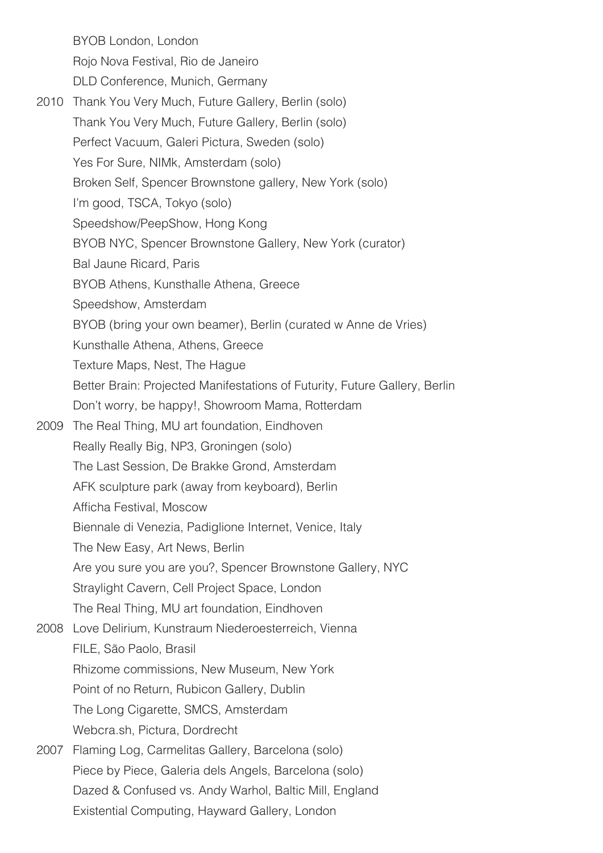BYOB London, London

Rojo Nova Festival, Rio de Janeiro

DLD Conference, Munich, Germany

- 2010 Thank You Very Much, Future Gallery, Berlin (solo) Thank You Very Much, Future Gallery, Berlin (solo) Perfect Vacuum, Galeri Pictura, Sweden (solo) Yes For Sure, NIMk, Amsterdam (solo) Broken Self, Spencer Brownstone gallery, New York (solo) I'm good, TSCA, Tokyo (solo) Speedshow/PeepShow, Hong Kong BYOB NYC, Spencer Brownstone Gallery, New York (curator) Bal Jaune Ricard, Paris BYOB Athens, Kunsthalle Athena, Greece Speedshow, Amsterdam BYOB (bring your own beamer), Berlin (curated w Anne de Vries) Kunsthalle Athena, Athens, Greece Texture Maps, Nest, The Hague Better Brain: Projected Manifestations of Futurity, Future Gallery, Berlin Don't worry, be happy!, Showroom Mama, Rotterdam 2009 The Real Thing, MU art foundation, Eindhoven Really Really Big, NP3, Groningen (solo) The Last Session, De Brakke Grond, Amsterdam AFK sculpture park (away from keyboard), Berlin Afficha Festival, Moscow Biennale di Venezia, Padiglione Internet, Venice, Italy The New Easy, Art News, Berlin Are you sure you are you?, Spencer Brownstone Gallery, NYC Straylight Cavern, Cell Project Space, London The Real Thing, MU art foundation, Eindhoven 2008 Love Delirium, Kunstraum Niederoesterreich, Vienna FILE, São Paolo, Brasil Rhizome commissions, New Museum, New York Point of no Return, Rubicon Gallery, Dublin The Long Cigarette, SMCS, Amsterdam Webcra.sh, Pictura, Dordrecht 2007 Flaming Log, Carmelitas Gallery, Barcelona (solo) Piece by Piece, Galeria dels Angels, Barcelona (solo) Dazed & Confused vs. Andy Warhol, Baltic Mill, England
	- Existential Computing, Hayward Gallery, London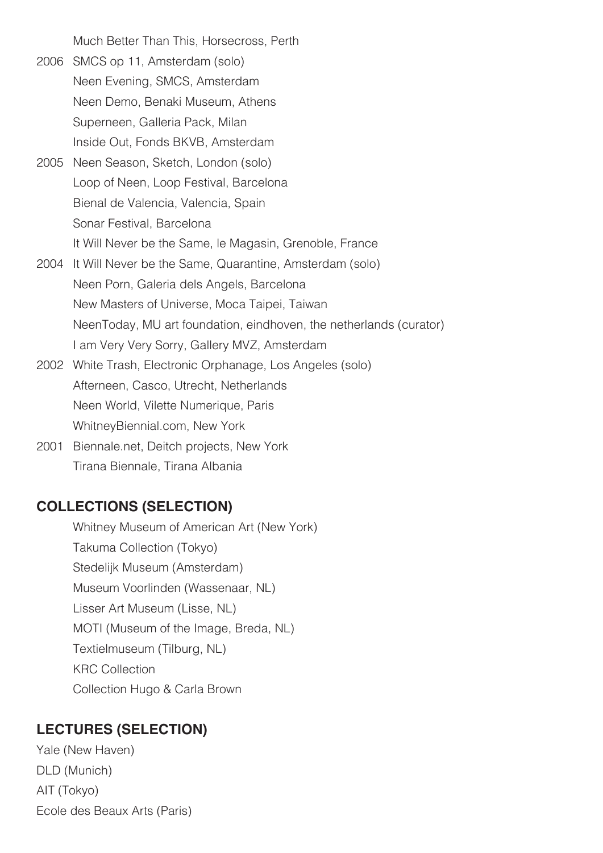Much Better Than This, Horsecross, Perth

- 2006 SMCS op 11, Amsterdam (solo) Neen Evening, SMCS, Amsterdam Neen Demo, Benaki Museum, Athens Superneen, Galleria Pack, Milan Inside Out, Fonds BKVB, Amsterdam
- 2005 Neen Season, Sketch, London (solo) Loop of Neen, Loop Festival, Barcelona Bienal de Valencia, Valencia, Spain Sonar Festival, Barcelona It Will Never be the Same, le Magasin, Grenoble, France
- 2004 It Will Never be the Same, Quarantine, Amsterdam (solo) Neen Porn, Galeria dels Angels, Barcelona New Masters of Universe, Moca Taipei, Taiwan NeenToday, MU art foundation, eindhoven, the netherlands (curator) I am Very Very Sorry, Gallery MVZ, Amsterdam
- 2002 White Trash, Electronic Orphanage, Los Angeles (solo) Afterneen, Casco, Utrecht, Netherlands Neen World, Vilette Numerique, Paris WhitneyBiennial.com, New York
- 2001 Biennale.net, Deitch projects, New York Tirana Biennale, Tirana Albania

#### **COLLECTIONS (SELECTION)**

Whitney Museum of American Art (New York) Takuma Collection (Tokyo) Stedelijk Museum (Amsterdam) Museum Voorlinden (Wassenaar, NL) Lisser Art Museum (Lisse, NL) MOTI (Museum of the Image, Breda, NL) Textielmuseum (Tilburg, NL) KRC Collection Collection Hugo & Carla Brown

#### **LECTURES (SELECTION)**

Yale (New Haven) DLD (Munich) AIT (Tokyo) Ecole des Beaux Arts (Paris)